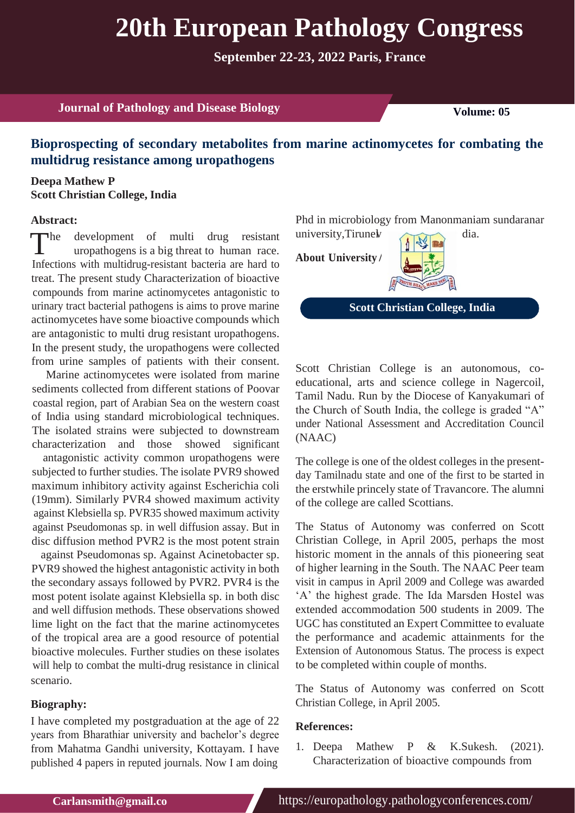# **20th European Pathology Congress**

**September 22-23, 2022 Paris, France**

**Journal of Pathology and Disease Biology Volume: 05** 

## **Bioprospecting of secondary metabolites from marine actinomycetes for combating the multidrug resistance among uropathogens**

### **Deepa Mathew P Scott Christian College, India**

#### **Abstract:**

The development of multi drug resistant university, Tirune with propartiogens is a big threat to human race.<br>Infections with multidrus resistant because one head to **About University** uropathogens is a big threat to human race. Infections with multidrug-resistant bacteria are hard to treat. The present study Characterization of bioactive compounds from marine actinomycetes antagonistic to urinary tract bacterial pathogens is aims to prove marine actinomycetes have some bioactive compounds which are antagonistic to multi drug resistant uropathogens. In the present study, the uropathogens were collected from urine samples of patients with their consent.

Marine actinomycetes were isolated from marine sediments collected from different stations of Poovar coastal region, part of Arabian Sea on the western coast of India using standard microbiological techniques. The isolated strains were subjected to downstream characterization and those showed significant

antagonistic activity common uropathogens were subjected to further studies. The isolate PVR9 showed maximum inhibitory activity against Escherichia coli (19mm). Similarly PVR4 showed maximum activity against Klebsiella sp. PVR35 showed maximum activity against Pseudomonas sp. in well diffusion assay. But in disc diffusion method PVR2 is the most potent strain

against Pseudomonas sp. Against Acinetobacter sp. PVR9 showed the highest antagonistic activity in both the secondary assays followed by PVR2. PVR4 is the most potent isolate against Klebsiella sp. in both disc and well diffusion methods. These observations showed lime light on the fact that the marine actinomycetes of the tropical area are a good resource of potential bioactive molecules. Further studies on these isolates will help to combat the multi-drug resistance in clinical scenario.

#### **Biography:**

I have completed my postgraduation at the age of 22 years from Bharathiar university and bachelor's degree from Mahatma Gandhi university, Kottayam. I have published 4 papers in reputed journals. Now I am doing

Phd in microbiology from Manonmaniam sundaranar university, Tirunel dia.

**About University**



**Scott Christian College, India**

Scott Christian College is an autonomous, coeducational, arts and science college in Nagercoil, Tamil Nadu. Run by the Diocese of Kanyakumari of the Church of South India, the college is graded "A" under National Assessment and Accreditation Council (NAAC)

The college is one of the oldest colleges in the presentday Tamilnadu state and one of the first to be started in the erstwhile princely state of Travancore. The alumni of the college are called Scottians.

The Status of Autonomy was conferred on Scott Christian College, in April 2005, perhaps the most historic moment in the annals of this pioneering seat of higher learning in the South. The NAAC Peer team visit in campus in April 2009 and College was awarded 'A' the highest grade. The Ida Marsden Hostel was extended accommodation 500 students in 2009. The UGC has constituted an Expert Committee to evaluate the performance and academic attainments for the Extension of Autonomous Status. The process is expect to be completed within couple of months.

The Status of Autonomy was conferred on Scott Christian College, in April 2005.

#### **References:**

1. Deepa Mathew P & K.Sukesh. (2021). Characterization of bioactive compounds from